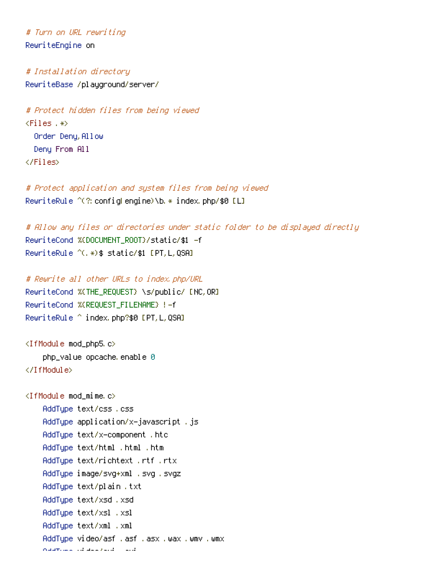# Turn on URL rewriting RewriteEngine on

# Installation directory RewriteBase /playground/server/

# Protect hidden files from being viewed  $\times$ Files .\*> Order Denu, Allow Deny From All </Files>

# Protect application and system files from being viewed RewriteRule  $\hat{C}(?)$  configHengine)\b.  $*$  index.php/\$0 [L]

```
# Allow any files or directories under static folder to be displayed directly
RewriteCond %{DOCUMENT_ROOT}/static/$1 -f
RewriteRule ^(.*)$ static/$1 [PT,L,QSA]
```

```
# Rewrite all other URLs to index.php/URL
RewriteCond %{THE_REQUEST} \s/public/ [NC,OR]
RewriteCond %{REQUEST_FILENAME} !-f
RewriteRule ^ index.php?$0 [PT,L,QSA]
```

```
<IfModule mod_php5.c>
    php_value opcache, enable 0
</IfModule>
```

```
\langleIfModule mod mime.c\rangleAddType text/css .css
    AddType application/x-javascript .js
    AddType text/x-component .htc
    AddType text/html .html .htm
    AddType text/richtext .rtf .rtx
    AddType image/svg+xml .svg .svgz
    AddType text/plain .txt
    AddType text/xsd .xsd
    AddType text/xsl .xsl
    AddType text/xml .xml
    AddType video/asf .asf .asx .wax .wmv .wmx
    AddType video/avi .avi
```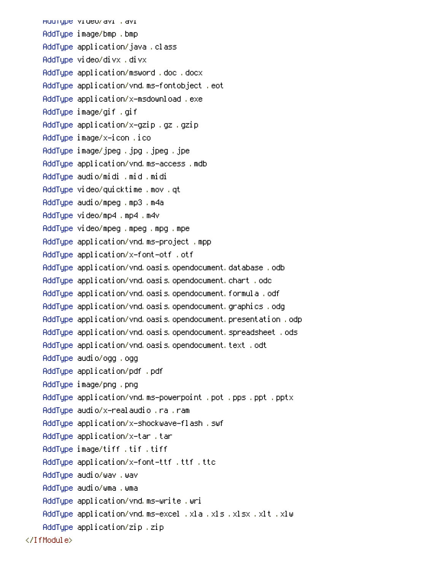AddType video/avi .avi AddType image/bmp .bmp AddType application/java .class AddType video/divx .divx AddType application/msword .doc .docx AddType application/vnd.ms-fontobject .eot AddType application/x-msdownload .exe AddType image/gif .gif AddType application/x-gzip .gz .gzip AddType image/x-icon .ico AddType image/jpeg .jpg .jpeg .jpe AddType application/vnd.ms-access .mdb AddType audio/midi .mid .midi AddType video/quicktime .mov .qt AddType audio/mpeg .mp3 .m4a AddType video/mp4 .mp4 .m4v AddType video/mpeg .mpeg .mpg .mpe AddType application/vnd.ms-project .mpp AddType application/x-font-otf .otf AddType application/vnd.oasis.opendocument.database .odb AddType application/vnd.oasis.opendocument.chart .odc AddType application/vnd.oasis.opendocument.formula .odf AddType application/vnd.oasis.opendocument.graphics .odg AddType application/vnd.oasis.opendocument.presentation .odp AddType application/vnd.oasis.opendocument.spreadsheet .ods AddType application/vnd.oasis.opendocument.text .odt AddType audio/ogg .ogg AddType application/pdf .pdf AddType image/png .png AddType application/vnd.ms-powerpoint .pot .pps .ppt .pptx AddType audio/x-realaudio .ra .ram AddType application/x-shockwave-flash .swf AddType application/x-tar .tar AddType image/tiff .tif .tiff AddType application/x-font-ttf .ttf .ttc AddType audio/wav .wav AddType audio/wma .wma AddType application/vnd.ms-write .wri AddType application/vnd.ms-excel .xla .xls .xlsx .xlt .xlw AddType application/zip .zip </IfModule>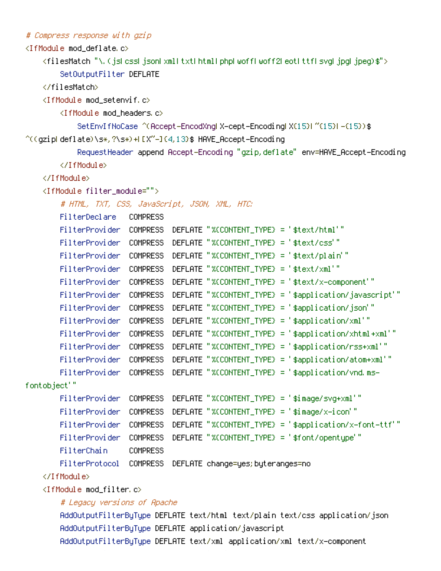# Compress response with gzip

<IfModule mod\_deflate.c>

<filesMatch "\.(js|css|json|xml|txt|html|php|woff|woff2|eot|ttf|svg|jpg|jpeg)\$"> SetOutputFilter DEFLATE

</filesMatch>

<IfModule mod\_setenvif.c>

<IfModule mod\_headers.c>

SetEnvIfNoCase ^(Accept-EncodXng|X-cept-Encoding|X{15}|~{15}|-{15})\$  $\hat{C}$ ((gzip|deflate)\s\*,?\s\*)+|[X~-]{4,13}\$ HAVE\_Accept-Encoding

RequestHeader append Accept-Encoding "gzip,deflate" env=HAVE\_Accept-Encoding

</IfModule>

## </IfModule>

<IfModule filter\_module="">

# HTML, TXT, CSS, JavaScript, JSON, XML, HTC:

| FilterDeclare  | <b>COMPRESS</b> |                                                           |
|----------------|-----------------|-----------------------------------------------------------|
| FilterProvider | <b>COMPRESS</b> | DEFLATE "%CONTENT_TYPE} = '\$text/html'"                  |
| FilterProvider | <b>COMPRESS</b> | DEFLATE "%CONTENT_TYPE} = '\$text/css'"                   |
| FilterProvider | <b>COMPRESS</b> | DEFLATE "%CONTENT_TYPE} = '\$text/plain'"                 |
| FilterProvider | <b>COMPRESS</b> | DEFLATE "%CONTENT_TYPE} = '\$text/xml'"                   |
| FilterProvider | <b>COMPRESS</b> | DEFLATE "%CONTENT_TYPE} = '\$text/x-component'"           |
| FilterProvider | <b>COMPRESS</b> | DEFLATE "%CONTENT_TYPE) = '\$application/javascript'"     |
| FilterProvider | <b>COMPRESS</b> | DEFLATE "%CONTENT_TYPE) = '\$application/json'"           |
| FilterProvider | <b>COMPRESS</b> | DEFLATE "%CONTENT_TYPE} = '\$application/xml'"            |
| FilterProvider | <b>COMPRESS</b> | DEFLATE "%CONTENT_TYPE} = '\$application/xhtml+xml'"      |
| FilterProvider | <b>COMPRESS</b> | DEFLATE "%(CONTENT_TYPE) = '\$application/rss+xml'"       |
| FilterProvider | <b>COMPRESS</b> | DEFLATE "%CONTENT_TYPE) = '\$application/atom+xml'"       |
| FilterProvider | <b>COMPRESS</b> | DEFLATE "%(CONTENT_TYPE) = '\$application/vnd.ms-         |
| fontobject'"   |                 |                                                           |
| FilterProvider | <b>COMPRESS</b> | DEFLATE "%(CONTENT_TYPE) = ' $\sin \theta$ age/svg+xml'"  |
| FilterProvider | <b>COMPRESS</b> | DEFLATE "X(CONTENT_TYPE) = $\frac{1}{2}$ \$image/x-icon'" |
| FilterProvider | <b>COMPRESS</b> | DEFLATE "%CCONTENT_TYPE) = '\$application/x-font-ttf'"    |
| FilterProvider | <b>COMPRESS</b> | DEFLATE "%CONTENT_TYPE} = '\$font/opentupe'"              |

FilterChain COMPRESS

FilterProtocol COMPRESS DEFLATE change=yes;byteranges=no

## </IfModule>

<IfModule mod\_filter.c>

## # Legacy versions of Apache

AddOutputFilterByType DEFLATE text/html text/plain text/css application/json AddOutputFilterByType DEFLATE application/javascript AddOutputFilterByType DEFLATE text/xml application/xml text/x-component